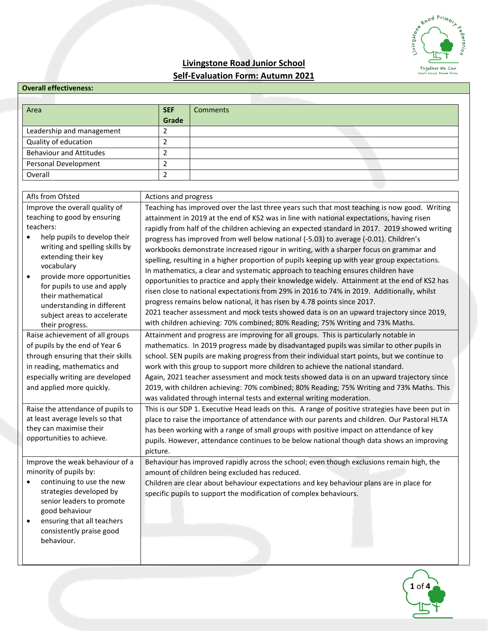

# **Livingstone Road Junior School Self-Evaluation Form: Autumn 2021**

| <b>Overall effectiveness:</b>                                                                                                                                                                                                                                                                                                                                      |                                                                                                                                                                                                                                                                                                                                                                                                                                                                                                                                                                                                                                                                                                                                                                                                                                                                                                                                                                                                                                                    |                                                                                                                                                                                                                                                                                                                                                                                                                                                                                                                                                                                                                                                                                                                                                                                                                                                                                                                                                                                                                                                                                                                              |
|--------------------------------------------------------------------------------------------------------------------------------------------------------------------------------------------------------------------------------------------------------------------------------------------------------------------------------------------------------------------|----------------------------------------------------------------------------------------------------------------------------------------------------------------------------------------------------------------------------------------------------------------------------------------------------------------------------------------------------------------------------------------------------------------------------------------------------------------------------------------------------------------------------------------------------------------------------------------------------------------------------------------------------------------------------------------------------------------------------------------------------------------------------------------------------------------------------------------------------------------------------------------------------------------------------------------------------------------------------------------------------------------------------------------------------|------------------------------------------------------------------------------------------------------------------------------------------------------------------------------------------------------------------------------------------------------------------------------------------------------------------------------------------------------------------------------------------------------------------------------------------------------------------------------------------------------------------------------------------------------------------------------------------------------------------------------------------------------------------------------------------------------------------------------------------------------------------------------------------------------------------------------------------------------------------------------------------------------------------------------------------------------------------------------------------------------------------------------------------------------------------------------------------------------------------------------|
| Area                                                                                                                                                                                                                                                                                                                                                               | <b>SEF</b><br>Grade                                                                                                                                                                                                                                                                                                                                                                                                                                                                                                                                                                                                                                                                                                                                                                                                                                                                                                                                                                                                                                | <b>Comments</b>                                                                                                                                                                                                                                                                                                                                                                                                                                                                                                                                                                                                                                                                                                                                                                                                                                                                                                                                                                                                                                                                                                              |
| Leadership and management                                                                                                                                                                                                                                                                                                                                          | $\overline{2}$                                                                                                                                                                                                                                                                                                                                                                                                                                                                                                                                                                                                                                                                                                                                                                                                                                                                                                                                                                                                                                     |                                                                                                                                                                                                                                                                                                                                                                                                                                                                                                                                                                                                                                                                                                                                                                                                                                                                                                                                                                                                                                                                                                                              |
| Quality of education                                                                                                                                                                                                                                                                                                                                               | $\overline{2}$                                                                                                                                                                                                                                                                                                                                                                                                                                                                                                                                                                                                                                                                                                                                                                                                                                                                                                                                                                                                                                     |                                                                                                                                                                                                                                                                                                                                                                                                                                                                                                                                                                                                                                                                                                                                                                                                                                                                                                                                                                                                                                                                                                                              |
| <b>Behaviour and Attitudes</b>                                                                                                                                                                                                                                                                                                                                     | 2                                                                                                                                                                                                                                                                                                                                                                                                                                                                                                                                                                                                                                                                                                                                                                                                                                                                                                                                                                                                                                                  |                                                                                                                                                                                                                                                                                                                                                                                                                                                                                                                                                                                                                                                                                                                                                                                                                                                                                                                                                                                                                                                                                                                              |
| Personal Development                                                                                                                                                                                                                                                                                                                                               | $\overline{2}$                                                                                                                                                                                                                                                                                                                                                                                                                                                                                                                                                                                                                                                                                                                                                                                                                                                                                                                                                                                                                                     |                                                                                                                                                                                                                                                                                                                                                                                                                                                                                                                                                                                                                                                                                                                                                                                                                                                                                                                                                                                                                                                                                                                              |
| Overall                                                                                                                                                                                                                                                                                                                                                            | $\overline{2}$                                                                                                                                                                                                                                                                                                                                                                                                                                                                                                                                                                                                                                                                                                                                                                                                                                                                                                                                                                                                                                     |                                                                                                                                                                                                                                                                                                                                                                                                                                                                                                                                                                                                                                                                                                                                                                                                                                                                                                                                                                                                                                                                                                                              |
|                                                                                                                                                                                                                                                                                                                                                                    |                                                                                                                                                                                                                                                                                                                                                                                                                                                                                                                                                                                                                                                                                                                                                                                                                                                                                                                                                                                                                                                    |                                                                                                                                                                                                                                                                                                                                                                                                                                                                                                                                                                                                                                                                                                                                                                                                                                                                                                                                                                                                                                                                                                                              |
| Afls from Ofsted                                                                                                                                                                                                                                                                                                                                                   | Actions and progress                                                                                                                                                                                                                                                                                                                                                                                                                                                                                                                                                                                                                                                                                                                                                                                                                                                                                                                                                                                                                               |                                                                                                                                                                                                                                                                                                                                                                                                                                                                                                                                                                                                                                                                                                                                                                                                                                                                                                                                                                                                                                                                                                                              |
| Improve the overall quality of<br>teaching to good by ensuring<br>teachers:<br>help pupils to develop their<br>writing and spelling skills by<br>extending their key<br>vocabulary<br>provide more opportunities<br>$\bullet$<br>for pupils to use and apply<br>their mathematical<br>understanding in different<br>subject areas to accelerate<br>their progress. |                                                                                                                                                                                                                                                                                                                                                                                                                                                                                                                                                                                                                                                                                                                                                                                                                                                                                                                                                                                                                                                    | Teaching has improved over the last three years such that most teaching is now good. Writing<br>attainment in 2019 at the end of KS2 was in line with national expectations, having risen<br>rapidly from half of the children achieving an expected standard in 2017. 2019 showed writing<br>progress has improved from well below national (-5.03) to average (-0.01). Children's<br>workbooks demonstrate increased rigour in writing, with a sharper focus on grammar and<br>spelling, resulting in a higher proportion of pupils keeping up with year group expectations.<br>In mathematics, a clear and systematic approach to teaching ensures children have<br>opportunities to practice and apply their knowledge widely. Attainment at the end of KS2 has<br>risen close to national expectations from 29% in 2016 to 74% in 2019. Additionally, whilst<br>progress remains below national, it has risen by 4.78 points since 2017.<br>2021 teacher assessment and mock tests showed data is on an upward trajectory since 2019,<br>with children achieving: 70% combined; 80% Reading; 75% Writing and 73% Maths. |
| Raise achievement of all groups<br>of pupils by the end of Year 6<br>through ensuring that their skills<br>in reading, mathematics and<br>especially writing are developed<br>and applied more quickly.<br>Raise the attendance of pupils to<br>at least average levels so that<br>they can maximise their<br>opportunities to achieve.                            | Attainment and progress are improving for all groups. This is particularly notable in<br>mathematics. In 2019 progress made by disadvantaged pupils was similar to other pupils in<br>school. SEN pupils are making progress from their individual start points, but we continue to<br>work with this group to support more children to achieve the national standard.<br>Again, 2021 teacher assessment and mock tests showed data is on an upward trajectory since<br>2019, with children achieving: 70% combined; 80% Reading; 75% Writing and 73% Maths. This<br>was validated through internal tests and external writing moderation.<br>This is our SDP 1. Executive Head leads on this. A range of positive strategies have been put in<br>place to raise the importance of attendance with our parents and children. Our Pastoral HLTA<br>has been working with a range of small groups with positive impact on attendance of key<br>pupils. However, attendance continues to be below national though data shows an improving<br>picture. |                                                                                                                                                                                                                                                                                                                                                                                                                                                                                                                                                                                                                                                                                                                                                                                                                                                                                                                                                                                                                                                                                                                              |
| Improve the weak behaviour of a<br>minority of pupils by:<br>continuing to use the new<br>٠<br>strategies developed by<br>senior leaders to promote<br>good behaviour<br>ensuring that all teachers<br>$\bullet$<br>consistently praise good<br>behaviour.                                                                                                         |                                                                                                                                                                                                                                                                                                                                                                                                                                                                                                                                                                                                                                                                                                                                                                                                                                                                                                                                                                                                                                                    | Behaviour has improved rapidly across the school; even though exclusions remain high, the<br>amount of children being excluded has reduced.<br>Children are clear about behaviour expectations and key behaviour plans are in place for<br>specific pupils to support the modification of complex behaviours.                                                                                                                                                                                                                                                                                                                                                                                                                                                                                                                                                                                                                                                                                                                                                                                                                |

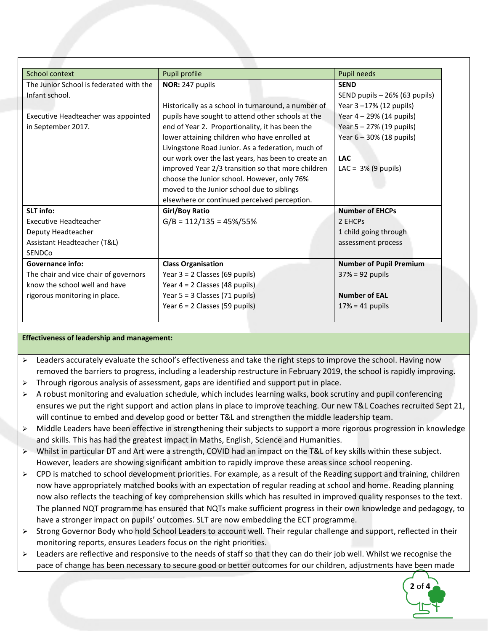| School context                          | Pupil profile                                       | Pupil needs                    |  |
|-----------------------------------------|-----------------------------------------------------|--------------------------------|--|
| The Junior School is federated with the | NOR: 247 pupils                                     | <b>SEND</b>                    |  |
| Infant school.                          |                                                     | SEND pupils - 26% (63 pupils)  |  |
|                                         | Historically as a school in turnaround, a number of | Year 3-17% (12 pupils)         |  |
| Executive Headteacher was appointed     | pupils have sought to attend other schools at the   | Year 4 - 29% (14 pupils)       |  |
| in September 2017.                      | end of Year 2. Proportionality, it has been the     | Year 5 - 27% (19 pupils)       |  |
|                                         | lower attaining children who have enrolled at       | Year 6 - 30% (18 pupils)       |  |
|                                         | Livingstone Road Junior. As a federation, much of   |                                |  |
|                                         | our work over the last years, has been to create an | <b>LAC</b>                     |  |
|                                         | improved Year 2/3 transition so that more children  | LAC = $3\%$ (9 pupils)         |  |
|                                         | choose the Junior school. However, only 76%         |                                |  |
|                                         | moved to the Junior school due to siblings          |                                |  |
|                                         | elsewhere or continued perceived perception.        |                                |  |
| <b>SLT</b> info:                        | <b>Girl/Boy Ratio</b>                               | <b>Number of EHCPs</b>         |  |
| Executive Headteacher                   | $G/B = 112/135 = 45\%/55\%$                         | 2 EHCPs                        |  |
| Deputy Headteacher                      |                                                     | 1 child going through          |  |
| Assistant Headteacher (T&L)             |                                                     | assessment process             |  |
| <b>SENDCo</b>                           |                                                     |                                |  |
| <b>Governance info:</b>                 | <b>Class Organisation</b>                           | <b>Number of Pupil Premium</b> |  |
| The chair and vice chair of governors   | Year $3 = 2$ Classes (69 pupils)                    | $37\% = 92$ pupils             |  |
| know the school well and have           | Year $4 = 2$ Classes (48 pupils)                    |                                |  |
| rigorous monitoring in place.           | Year $5 = 3$ Classes (71 pupils)                    | <b>Number of EAL</b>           |  |
|                                         | Year $6 = 2$ Classes (59 pupils)                    | $17% = 41$ pupils              |  |

## **Effectiveness of leadership and management:**

- $\triangleright$  Leaders accurately evaluate the school's effectiveness and take the right steps to improve the school. Having now removed the barriers to progress, including a leadership restructure in February 2019, the school is rapidly improving.
- $\triangleright$  Through rigorous analysis of assessment, gaps are identified and support put in place.
- $\triangleright$  A robust monitoring and evaluation schedule, which includes learning walks, book scrutiny and pupil conferencing ensures we put the right support and action plans in place to improve teaching. Our new T&L Coaches recruited Sept 21, will continue to embed and develop good or better T&L and strengthen the middle leadership team.
- Middle Leaders have been effective in strengthening their subjects to support a more rigorous progression in knowledge and skills. This has had the greatest impact in Maths, English, Science and Humanities.
- $\triangleright$  Whilst in particular DT and Art were a strength, COVID had an impact on the T&L of key skills within these subject. However, leaders are showing significant ambition to rapidly improve these areas since school reopening.
- $\triangleright$  CPD is matched to school development priorities. For example, as a result of the Reading support and training, children now have appropriately matched books with an expectation of regular reading at school and home. Reading planning now also reflects the teaching of key comprehension skills which has resulted in improved quality responses to the text. The planned NQT programme has ensured that NQTs make sufficient progress in their own knowledge and pedagogy, to have a stronger impact on pupils' outcomes. SLT are now embedding the ECT programme.
- $\triangleright$  Strong Governor Body who hold School Leaders to account well. Their regular challenge and support, reflected in their monitoring reports, ensures Leaders focus on the right priorities.
- $\triangleright$  Leaders are reflective and responsive to the needs of staff so that they can do their job well. Whilst we recognise the pace of change has been necessary to secure good or better outcomes for our children, adjustments have been made

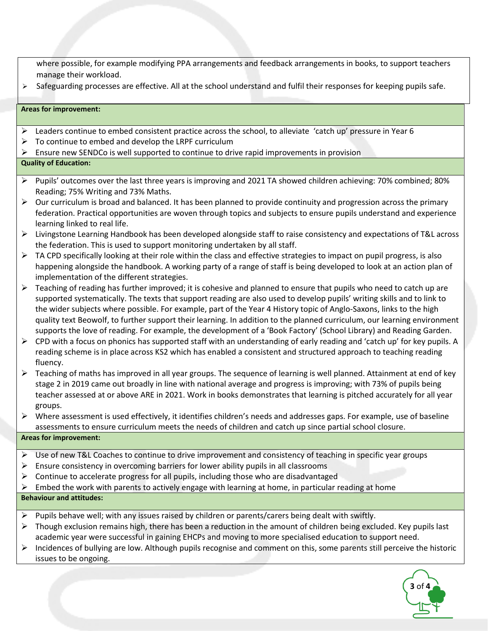where possible, for example modifying PPA arrangements and feedback arrangements in books, to support teachers manage their workload.

 $\triangleright$  Safeguarding processes are effective. All at the school understand and fulfil their responses for keeping pupils safe.

#### **Areas for improvement:**

- Leaders continue to embed consistent practice across the school, to alleviate 'catch up' pressure in Year 6
- $\triangleright$  To continue to embed and develop the LRPF curriculum
- $\triangleright$  Ensure new SENDCo is well supported to continue to drive rapid improvements in provision

## **Quality of Education:**

- $\triangleright$  Pupils' outcomes over the last three years is improving and 2021 TA showed children achieving: 70% combined; 80% Reading; 75% Writing and 73% Maths.
- $\triangleright$  Our curriculum is broad and balanced. It has been planned to provide continuity and progression across the primary federation. Practical opportunities are woven through topics and subjects to ensure pupils understand and experience learning linked to real life.
- Livingstone Learning Handbook has been developed alongside staff to raise consistency and expectations of T&L across the federation. This is used to support monitoring undertaken by all staff.
- $\triangleright$  TA CPD specifically looking at their role within the class and effective strategies to impact on pupil progress, is also happening alongside the handbook. A working party of a range of staff is being developed to look at an action plan of implementation of the different strategies.
- $\triangleright$  Teaching of reading has further improved; it is cohesive and planned to ensure that pupils who need to catch up are supported systematically. The texts that support reading are also used to develop pupils' writing skills and to link to the wider subjects where possible. For example, part of the Year 4 History topic of Anglo-Saxons, links to the high quality text Beowolf, to further support their learning. In addition to the planned curriculum, our learning environment supports the love of reading. For example, the development of a 'Book Factory' (School Library) and Reading Garden.
- $\triangleright$  CPD with a focus on phonics has supported staff with an understanding of early reading and 'catch up' for key pupils. A reading scheme is in place across KS2 which has enabled a consistent and structured approach to teaching reading fluency.
- $\triangleright$  Teaching of maths has improved in all year groups. The sequence of learning is well planned. Attainment at end of key stage 2 in 2019 came out broadly in line with national average and progress is improving; with 73% of pupils being teacher assessed at or above ARE in 2021. Work in books demonstrates that learning is pitched accurately for all year groups.
- $\triangleright$  Where assessment is used effectively, it identifies children's needs and addresses gaps. For example, use of baseline assessments to ensure curriculum meets the needs of children and catch up since partial school closure.

### **Areas for improvement:**

- $\triangleright$  Use of new T&L Coaches to continue to drive improvement and consistency of teaching in specific year groups
- $\triangleright$  Ensure consistency in overcoming barriers for lower ability pupils in all classrooms
- $\triangleright$  Continue to accelerate progress for all pupils, including those who are disadvantaged
- $\triangleright$  Embed the work with parents to actively engage with learning at home, in particular reading at home

## **Behaviour and attitudes:**

- $\triangleright$  Pupils behave well; with any issues raised by children or parents/carers being dealt with swiftly.
- $\triangleright$  Though exclusion remains high, there has been a reduction in the amount of children being excluded. Key pupils last academic year were successful in gaining EHCPs and moving to more specialised education to support need.
- $\triangleright$  Incidences of bullying are low. Although pupils recognise and comment on this, some parents still perceive the historic issues to be ongoing.